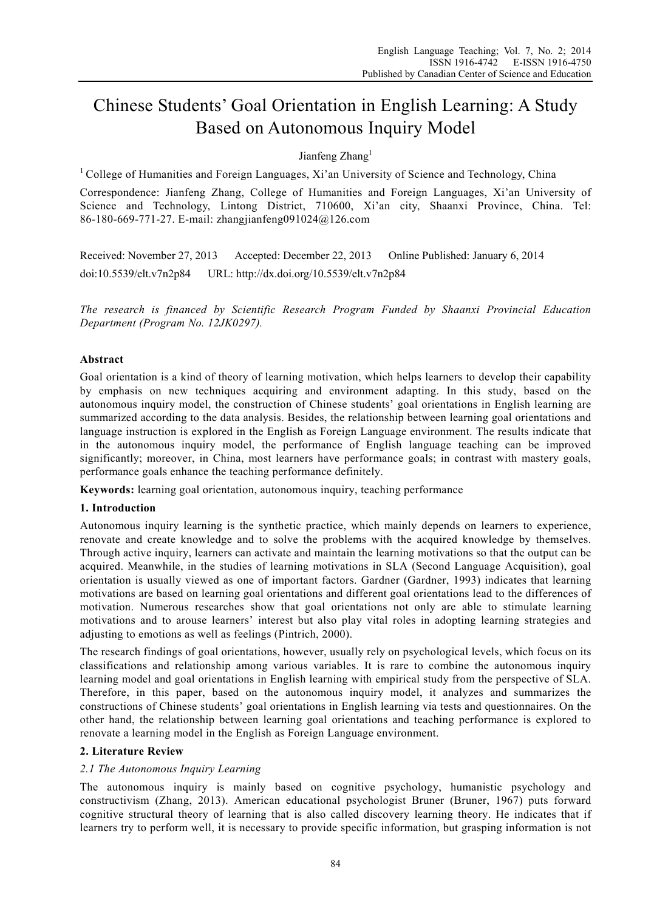# Chinese Students' Goal Orientation in English Learning: A Study Based on Autonomous Inquiry Model

# Jianfeng Zhang<sup>1</sup>

<sup>1</sup> College of Humanities and Foreign Languages, Xi'an University of Science and Technology, China

Correspondence: Jianfeng Zhang, College of Humanities and Foreign Languages, Xi'an University of Science and Technology, Lintong District, 710600, Xi'an city, Shaanxi Province, China. Tel: 86-180-669-771-27. E-mail: zhangjianfeng091024@126.com

Received: November 27, 2013 Accepted: December 22, 2013 Online Published: January 6, 2014 doi:10.5539/elt.v7n2p84 URL: http://dx.doi.org/10.5539/elt.v7n2p84

*The research is financed by Scientific Research Program Funded by Shaanxi Provincial Education Department (Program No. 12JK0297).* 

# **Abstract**

Goal orientation is a kind of theory of learning motivation, which helps learners to develop their capability by emphasis on new techniques acquiring and environment adapting. In this study, based on the autonomous inquiry model, the construction of Chinese students' goal orientations in English learning are summarized according to the data analysis. Besides, the relationship between learning goal orientations and language instruction is explored in the English as Foreign Language environment. The results indicate that in the autonomous inquiry model, the performance of English language teaching can be improved significantly; moreover, in China, most learners have performance goals; in contrast with mastery goals, performance goals enhance the teaching performance definitely.

**Keywords:** learning goal orientation, autonomous inquiry, teaching performance

# **1. Introduction**

Autonomous inquiry learning is the synthetic practice, which mainly depends on learners to experience, renovate and create knowledge and to solve the problems with the acquired knowledge by themselves. Through active inquiry, learners can activate and maintain the learning motivations so that the output can be acquired. Meanwhile, in the studies of learning motivations in SLA (Second Language Acquisition), goal orientation is usually viewed as one of important factors. Gardner (Gardner, 1993) indicates that learning motivations are based on learning goal orientations and different goal orientations lead to the differences of motivation. Numerous researches show that goal orientations not only are able to stimulate learning motivations and to arouse learners' interest but also play vital roles in adopting learning strategies and adjusting to emotions as well as feelings (Pintrich, 2000).

The research findings of goal orientations, however, usually rely on psychological levels, which focus on its classifications and relationship among various variables. It is rare to combine the autonomous inquiry learning model and goal orientations in English learning with empirical study from the perspective of SLA. Therefore, in this paper, based on the autonomous inquiry model, it analyzes and summarizes the constructions of Chinese students' goal orientations in English learning via tests and questionnaires. On the other hand, the relationship between learning goal orientations and teaching performance is explored to renovate a learning model in the English as Foreign Language environment.

# **2. Literature Review**

# *2.1 The Autonomous Inquiry Learning*

The autonomous inquiry is mainly based on cognitive psychology, humanistic psychology and constructivism (Zhang, 2013). American educational psychologist Bruner (Bruner, 1967) puts forward cognitive structural theory of learning that is also called discovery learning theory. He indicates that if learners try to perform well, it is necessary to provide specific information, but grasping information is not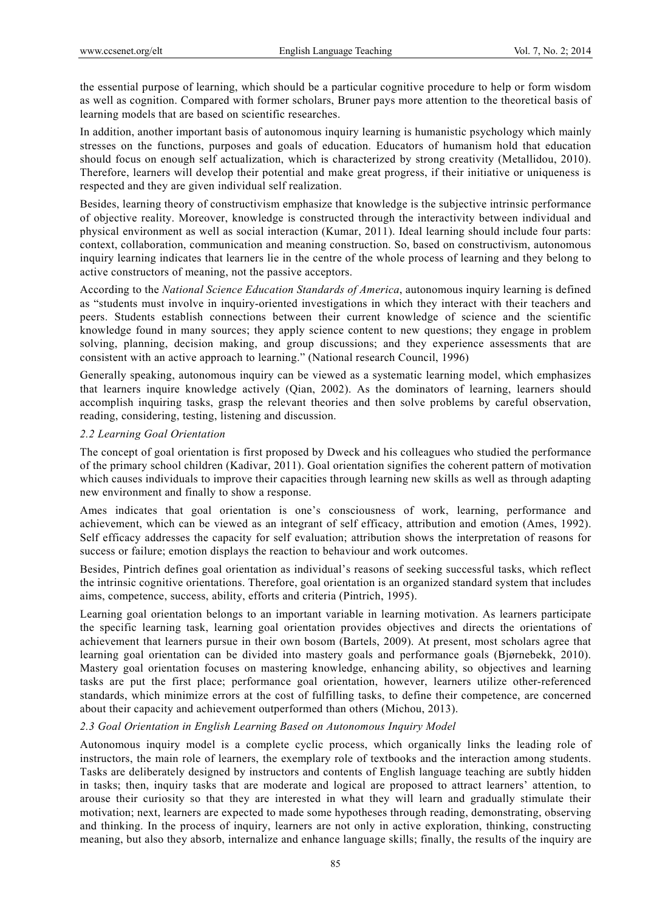the essential purpose of learning, which should be a particular cognitive procedure to help or form wisdom as well as cognition. Compared with former scholars, Bruner pays more attention to the theoretical basis of learning models that are based on scientific researches.

In addition, another important basis of autonomous inquiry learning is humanistic psychology which mainly stresses on the functions, purposes and goals of education. Educators of humanism hold that education should focus on enough self actualization, which is characterized by strong creativity (Metallidou, 2010). Therefore, learners will develop their potential and make great progress, if their initiative or uniqueness is respected and they are given individual self realization.

Besides, learning theory of constructivism emphasize that knowledge is the subjective intrinsic performance of objective reality. Moreover, knowledge is constructed through the interactivity between individual and physical environment as well as social interaction (Kumar, 2011). Ideal learning should include four parts: context, collaboration, communication and meaning construction. So, based on constructivism, autonomous inquiry learning indicates that learners lie in the centre of the whole process of learning and they belong to active constructors of meaning, not the passive acceptors.

According to the *National Science Education Standards of America*, autonomous inquiry learning is defined as "students must involve in inquiry-oriented investigations in which they interact with their teachers and peers. Students establish connections between their current knowledge of science and the scientific knowledge found in many sources; they apply science content to new questions; they engage in problem solving, planning, decision making, and group discussions; and they experience assessments that are consistent with an active approach to learning." (National research Council, 1996)

Generally speaking, autonomous inquiry can be viewed as a systematic learning model, which emphasizes that learners inquire knowledge actively (Qian, 2002). As the dominators of learning, learners should accomplish inquiring tasks, grasp the relevant theories and then solve problems by careful observation, reading, considering, testing, listening and discussion.

## *2.2 Learning Goal Orientation*

The concept of goal orientation is first proposed by Dweck and his colleagues who studied the performance of the primary school children (Kadivar, 2011). Goal orientation signifies the coherent pattern of motivation which causes individuals to improve their capacities through learning new skills as well as through adapting new environment and finally to show a response.

Ames indicates that goal orientation is one's consciousness of work, learning, performance and achievement, which can be viewed as an integrant of self efficacy, attribution and emotion (Ames, 1992). Self efficacy addresses the capacity for self evaluation; attribution shows the interpretation of reasons for success or failure; emotion displays the reaction to behaviour and work outcomes.

Besides, Pintrich defines goal orientation as individual's reasons of seeking successful tasks, which reflect the intrinsic cognitive orientations. Therefore, goal orientation is an organized standard system that includes aims, competence, success, ability, efforts and criteria (Pintrich, 1995).

Learning goal orientation belongs to an important variable in learning motivation. As learners participate the specific learning task, learning goal orientation provides objectives and directs the orientations of achievement that learners pursue in their own bosom (Bartels, 2009). At present, most scholars agree that learning goal orientation can be divided into mastery goals and performance goals (Bjørnebekk, 2010). Mastery goal orientation focuses on mastering knowledge, enhancing ability, so objectives and learning tasks are put the first place; performance goal orientation, however, learners utilize other-referenced standards, which minimize errors at the cost of fulfilling tasks, to define their competence, are concerned about their capacity and achievement outperformed than others (Michou, 2013).

#### *2.3 Goal Orientation in English Learning Based on Autonomous Inquiry Model*

Autonomous inquiry model is a complete cyclic process, which organically links the leading role of instructors, the main role of learners, the exemplary role of textbooks and the interaction among students. Tasks are deliberately designed by instructors and contents of English language teaching are subtly hidden in tasks; then, inquiry tasks that are moderate and logical are proposed to attract learners' attention, to arouse their curiosity so that they are interested in what they will learn and gradually stimulate their motivation; next, learners are expected to made some hypotheses through reading, demonstrating, observing and thinking. In the process of inquiry, learners are not only in active exploration, thinking, constructing meaning, but also they absorb, internalize and enhance language skills; finally, the results of the inquiry are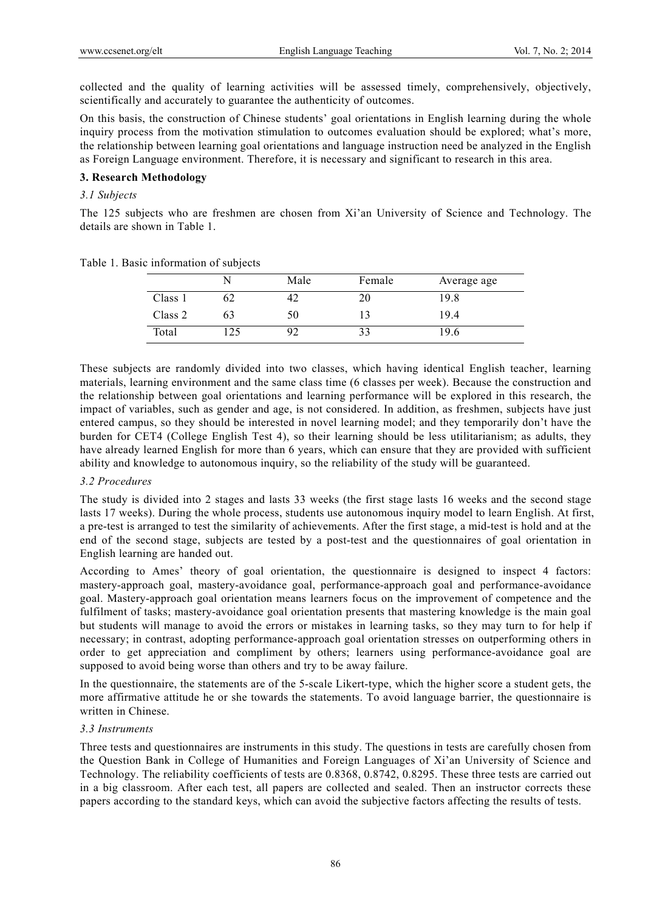collected and the quality of learning activities will be assessed timely, comprehensively, objectively, scientifically and accurately to guarantee the authenticity of outcomes.

On this basis, the construction of Chinese students' goal orientations in English learning during the whole inquiry process from the motivation stimulation to outcomes evaluation should be explored; what's more, the relationship between learning goal orientations and language instruction need be analyzed in the English as Foreign Language environment. Therefore, it is necessary and significant to research in this area.

## **3. Research Methodology**

#### *3.1 Subjects*

The 125 subjects who are freshmen are chosen from Xi'an University of Science and Technology. The details are shown in Table 1.

|         | N  | Male | Female | Average age |
|---------|----|------|--------|-------------|
| Class 1 |    |      |        | 19.8        |
| Class 2 | 63 | 50   |        | 19.4        |
| Total   | 25 |      |        | 19.6        |

Table 1. Basic information of subjects

These subjects are randomly divided into two classes, which having identical English teacher, learning materials, learning environment and the same class time (6 classes per week). Because the construction and the relationship between goal orientations and learning performance will be explored in this research, the impact of variables, such as gender and age, is not considered. In addition, as freshmen, subjects have just entered campus, so they should be interested in novel learning model; and they temporarily don't have the burden for CET4 (College English Test 4), so their learning should be less utilitarianism; as adults, they have already learned English for more than 6 years, which can ensure that they are provided with sufficient ability and knowledge to autonomous inquiry, so the reliability of the study will be guaranteed.

#### *3.2 Procedures*

The study is divided into 2 stages and lasts 33 weeks (the first stage lasts 16 weeks and the second stage lasts 17 weeks). During the whole process, students use autonomous inquiry model to learn English. At first, a pre-test is arranged to test the similarity of achievements. After the first stage, a mid-test is hold and at the end of the second stage, subjects are tested by a post-test and the questionnaires of goal orientation in English learning are handed out.

According to Ames' theory of goal orientation, the questionnaire is designed to inspect 4 factors: mastery-approach goal, mastery-avoidance goal, performance-approach goal and performance-avoidance goal. Mastery-approach goal orientation means learners focus on the improvement of competence and the fulfilment of tasks; mastery-avoidance goal orientation presents that mastering knowledge is the main goal but students will manage to avoid the errors or mistakes in learning tasks, so they may turn to for help if necessary; in contrast, adopting performance-approach goal orientation stresses on outperforming others in order to get appreciation and compliment by others; learners using performance-avoidance goal are supposed to avoid being worse than others and try to be away failure.

In the questionnaire, the statements are of the 5-scale Likert-type, which the higher score a student gets, the more affirmative attitude he or she towards the statements. To avoid language barrier, the questionnaire is written in Chinese.

## *3.3 Instruments*

Three tests and questionnaires are instruments in this study. The questions in tests are carefully chosen from the Question Bank in College of Humanities and Foreign Languages of Xi'an University of Science and Technology. The reliability coefficients of tests are 0.8368, 0.8742, 0.8295. These three tests are carried out in a big classroom. After each test, all papers are collected and sealed. Then an instructor corrects these papers according to the standard keys, which can avoid the subjective factors affecting the results of tests.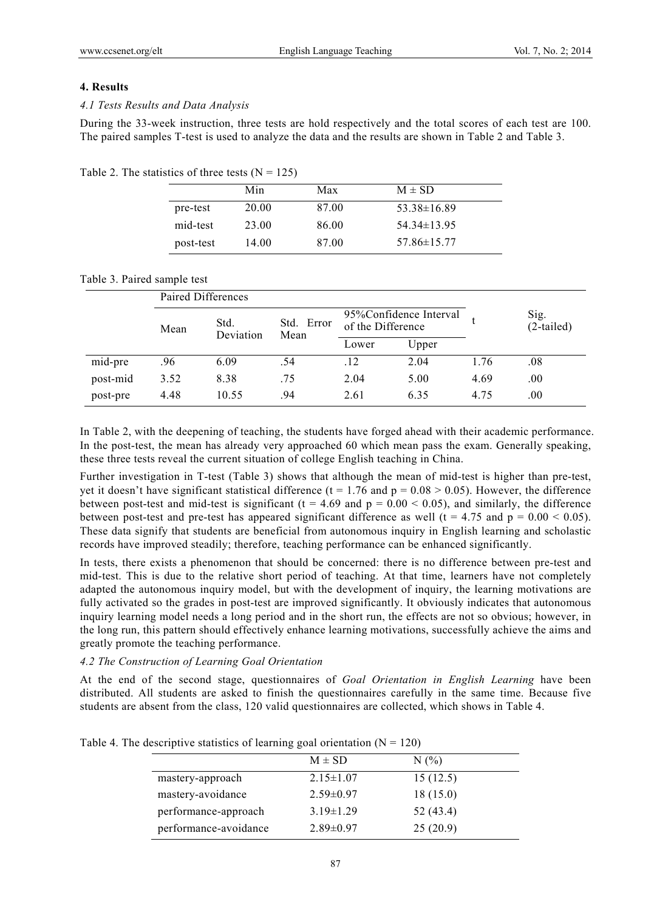## **4. Results**

## *4.1 Tests Results and Data Analysis*

During the 33-week instruction, three tests are hold respectively and the total scores of each test are 100. The paired samples T-test is used to analyze the data and the results are shown in Table 2 and Table 3.

Table 2. The statistics of three tests  $(N = 125)$ 

|           | Min   | Max   | $M \pm SD$      |  |
|-----------|-------|-------|-----------------|--|
| pre-test  | 20.00 | 87.00 | $53.38\pm16.89$ |  |
| mid-test  | 23.00 | 86.00 | $54.34\pm13.95$ |  |
| post-test | 14.00 | 87.00 | $57.86\pm15.77$ |  |

## Table 3. Paired sample test

|          | Paired Differences |                   |                    |                                             |       |      |                      |  |
|----------|--------------------|-------------------|--------------------|---------------------------------------------|-------|------|----------------------|--|
|          | Mean               | Std.<br>Deviation | Std. Error<br>Mean | 95%Confidence Interval<br>of the Difference |       |      | Sig.<br>$(2-tailed)$ |  |
|          |                    |                   |                    | Lower                                       | Upper |      |                      |  |
| mid-pre  | .96                | 6.09              | .54                | .12                                         | 2.04  | 1.76 | .08                  |  |
| post-mid | 3.52               | 8.38              | .75                | 2.04                                        | 5.00  | 4.69 | .00.                 |  |
| post-pre | 4.48               | 10.55             | .94                | 2.61                                        | 6.35  | 4.75 | .00.                 |  |

In Table 2, with the deepening of teaching, the students have forged ahead with their academic performance. In the post-test, the mean has already very approached 60 which mean pass the exam. Generally speaking, these three tests reveal the current situation of college English teaching in China.

Further investigation in T-test (Table 3) shows that although the mean of mid-test is higher than pre-test, yet it doesn't have significant statistical difference ( $t = 1.76$  and  $p = 0.08 > 0.05$ ). However, the difference between post-test and mid-test is significant ( $t = 4.69$  and  $p = 0.00 < 0.05$ ), and similarly, the difference between post-test and pre-test has appeared significant difference as well (t = 4.75 and  $p = 0.00 < 0.05$ ). These data signify that students are beneficial from autonomous inquiry in English learning and scholastic records have improved steadily; therefore, teaching performance can be enhanced significantly.

In tests, there exists a phenomenon that should be concerned: there is no difference between pre-test and mid-test. This is due to the relative short period of teaching. At that time, learners have not completely adapted the autonomous inquiry model, but with the development of inquiry, the learning motivations are fully activated so the grades in post-test are improved significantly. It obviously indicates that autonomous inquiry learning model needs a long period and in the short run, the effects are not so obvious; however, in the long run, this pattern should effectively enhance learning motivations, successfully achieve the aims and greatly promote the teaching performance.

# *4.2 The Construction of Learning Goal Orientation*

At the end of the second stage, questionnaires of *Goal Orientation in English Learning* have been distributed. All students are asked to finish the questionnaires carefully in the same time. Because five students are absent from the class, 120 valid questionnaires are collected, which shows in Table 4.

|                       | $M \pm SD$      | N(%)      |  |
|-----------------------|-----------------|-----------|--|
| mastery-approach      | $2.15 \pm 1.07$ | 15(12.5)  |  |
| mastery-avoidance     | $2.59 \pm 0.97$ | 18(15.0)  |  |
| performance-approach  | $3.19 \pm 1.29$ | 52 (43.4) |  |
| performance-avoidance | $2.89\pm0.97$   | 25(20.9)  |  |

Table 4. The descriptive statistics of learning goal orientation  $(N = 120)$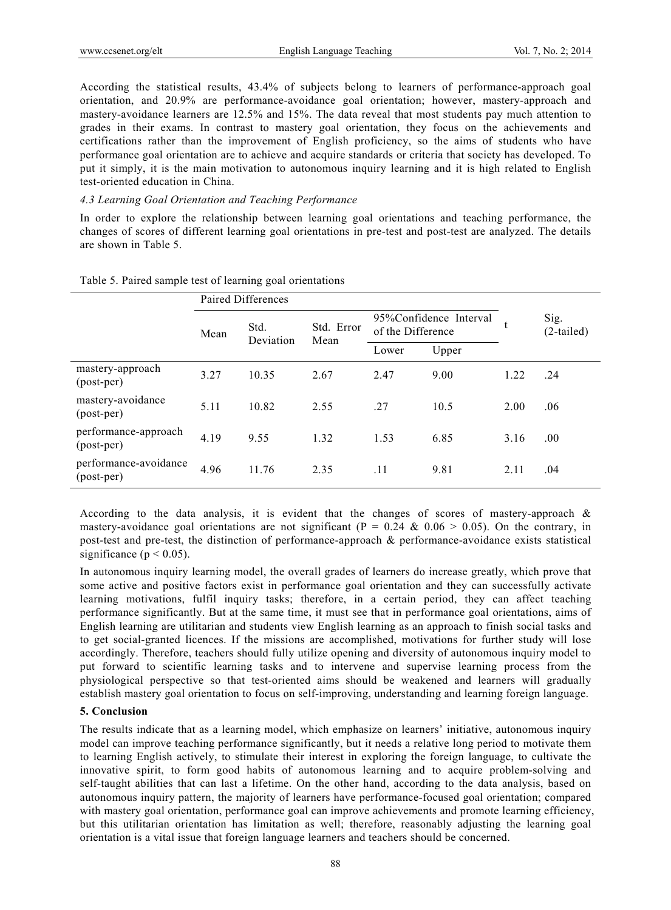According the statistical results, 43.4% of subjects belong to learners of performance-approach goal orientation, and 20.9% are performance-avoidance goal orientation; however, mastery-approach and mastery-avoidance learners are 12.5% and 15%. The data reveal that most students pay much attention to grades in their exams. In contrast to mastery goal orientation, they focus on the achievements and certifications rather than the improvement of English proficiency, so the aims of students who have performance goal orientation are to achieve and acquire standards or criteria that society has developed. To put it simply, it is the main motivation to autonomous inquiry learning and it is high related to English test-oriented education in China.

#### *4.3 Learning Goal Orientation and Teaching Performance*

In order to explore the relationship between learning goal orientations and teaching performance, the changes of scores of different learning goal orientations in pre-test and post-test are analyzed. The details are shown in Table 5.

|                                     | Paired Differences |                   |                    |                                             |       |      |                      |  |
|-------------------------------------|--------------------|-------------------|--------------------|---------------------------------------------|-------|------|----------------------|--|
|                                     | Mean               | Std.<br>Deviation | Std. Error<br>Mean | 95%Confidence Interval<br>of the Difference |       | t    | Sig.<br>$(2-tailed)$ |  |
|                                     |                    |                   |                    | Lower                                       | Upper |      |                      |  |
| mastery-approach<br>(post-per)      | 3.27               | 10.35             | 2.67               | 2.47                                        | 9.00  | 1.22 | .24                  |  |
| mastery-avoidance<br>(post-per)     | 5.11               | 10.82             | 2.55               | .27                                         | 10.5  | 2.00 | .06                  |  |
| performance-approach<br>(post-per)  | 4.19               | 9.55              | 1.32               | 1.53                                        | 6.85  | 3.16 | .00.                 |  |
| performance-avoidance<br>(post-per) | 4.96               | 11.76             | 2.35               | .11                                         | 9.81  | 2.11 | .04                  |  |

Table 5. Paired sample test of learning goal orientations

According to the data analysis, it is evident that the changes of scores of mastery-approach  $\&$ mastery-avoidance goal orientations are not significant ( $P = 0.24 \& 0.06 > 0.05$ ). On the contrary, in post-test and pre-test, the distinction of performance-approach & performance-avoidance exists statistical significance ( $p < 0.05$ ).

In autonomous inquiry learning model, the overall grades of learners do increase greatly, which prove that some active and positive factors exist in performance goal orientation and they can successfully activate learning motivations, fulfil inquiry tasks; therefore, in a certain period, they can affect teaching performance significantly. But at the same time, it must see that in performance goal orientations, aims of English learning are utilitarian and students view English learning as an approach to finish social tasks and to get social-granted licences. If the missions are accomplished, motivations for further study will lose accordingly. Therefore, teachers should fully utilize opening and diversity of autonomous inquiry model to put forward to scientific learning tasks and to intervene and supervise learning process from the physiological perspective so that test-oriented aims should be weakened and learners will gradually establish mastery goal orientation to focus on self-improving, understanding and learning foreign language.

#### **5. Conclusion**

The results indicate that as a learning model, which emphasize on learners' initiative, autonomous inquiry model can improve teaching performance significantly, but it needs a relative long period to motivate them to learning English actively, to stimulate their interest in exploring the foreign language, to cultivate the innovative spirit, to form good habits of autonomous learning and to acquire problem-solving and self-taught abilities that can last a lifetime. On the other hand, according to the data analysis, based on autonomous inquiry pattern, the majority of learners have performance-focused goal orientation; compared with mastery goal orientation, performance goal can improve achievements and promote learning efficiency, but this utilitarian orientation has limitation as well; therefore, reasonably adjusting the learning goal orientation is a vital issue that foreign language learners and teachers should be concerned.